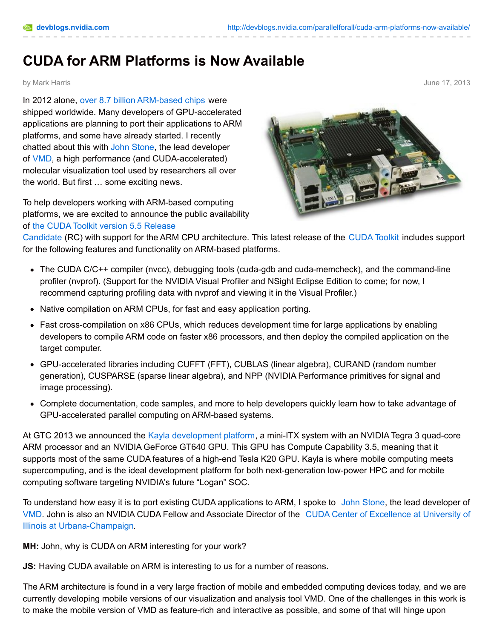## **CUDA for ARM Platforms is Now Available**

by Mark Harris June 17, 2013

In 2012 alone, over 8.7 billion [ARM-based](http://ir.arm.com/phoenix.zhtml?c=197211&p=irol-reportsannual&sf10179338=1) chips were shipped worldwide. Many developers of GPU-accelerated applications are planning to port their applications to ARM platforms, and some have already started. I recently chatted about this with John [Stone](http://www.ks.uiuc.edu/~johns/), the lead developer of [VMD](http://www.ks.uiuc.edu/Research/vmd/), a high performance (and CUDA-accelerated) molecular visualization tool used by researchers all over the world. But first … some exciting news.

To help developers working with ARM-based computing platforms, we are excited to announce the public availability of the CUDA Toolkit version 5.5 Release



[Candidate](https://developer.nvidia.com/cuda-pre-production) (RC) with support for the ARM CPU architecture. This latest release of the [CUDA](https://developer.nvidia.com/cuda-toolkit) Toolkit includes support for the following features and functionality on ARM-based platforms.

- The CUDA C/C++ compiler (nvcc), debugging tools (cuda-gdb and cuda-memcheck), and the command-line profiler (nvprof). (Support for the NVIDIA Visual Profiler and NSight Eclipse Edition to come; for now, I recommend capturing profiling data with nvprof and viewing it in the Visual Profiler.)
- Native compilation on ARM CPUs, for fast and easy application porting.
- Fast cross-compilation on x86 CPUs, which reduces development time for large applications by enabling developers to compile ARM code on faster x86 processors, and then deploy the compiled application on the target computer.
- GPU-accelerated libraries including CUFFT (FFT), CUBLAS (linear algebra), CURAND (random number generation), CUSPARSE (sparse linear algebra), and NPP (NVIDIA Performance primitives for signal and image processing).
- Complete documentation, code samples, and more to help developers quickly learn how to take advantage of GPU-accelerated parallel computing on ARM-based systems.

At GTC 2013 we announced the Kayla [development](https://developer.nvidia.com/content/kayla-platform) platform, a mini-ITX system with an NVIDIA Tegra 3 quad-core ARM processor and an NVIDIA GeForce GT640 GPU. This GPU has Compute Capability 3.5, meaning that it supports most of the same CUDA features of a high-end Tesla K20 GPU. Kayla is where mobile computing meets supercomputing, and is the ideal development platform for both next-generation low-power HPC and for mobile computing software targeting NVIDIA's future "Logan" SOC.

To understand how easy it is to port existing CUDA applications to ARM, I spoke to John [Stone](http://www.ks.uiuc.edu/~johns/), the lead developer of [VMD](http://www.ks.uiuc.edu/Research/vmd/). John is also an NVIDIA CUDA Fellow and Associate Director of the CUDA Center of Excellence at University of Illinois at [Urbana-Champaign.](http://www.nvidia.com/object/io_1214807636303.html)

**MH:** John, why is CUDA on ARM interesting for your work?

**JS:** Having CUDA available on ARM is interesting to us for a number of reasons.

The ARM architecture is found in a very large fraction of mobile and embedded computing devices today, and we are currently developing mobile versions of our visualization and analysis tool VMD. One of the challenges in this work is to make the mobile version of VMD as feature-rich and interactive as possible, and some of that will hinge upon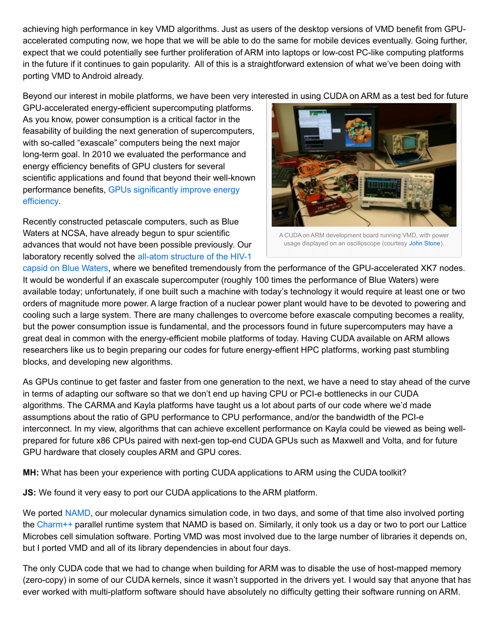achieving high performance in key VMD algorithms. Just as users of the desktop versions of VMD benefit from GPUaccelerated computing now, we hope that we will be able to do the same for mobile devices eventually. Going further,  $\vert$ expect that we could potentially see further proliferation of ARM into laptops or low-cost PC-like computing platforms in the future if it continues to gain popularity. All of this is a straightforward extension of what we've been doing with porting VMD to Android already.

Beyond our interest in mobile platforms, we have been very interested in using CUDA on ARM as a test bed for future

GPU-accelerated energy-efficient supercomputing platforms. As you know, power consumption is a critical factor in the feasability of building the next generation of supercomputers, with so-called "exascale" computers being the next major long-term goal. In 2010 we evaluated the performance and energy efficiency benefits of GPU clusters for several scientific applications and found that beyond their well-known [performance](http://dx.doi.org/10.1109/GREENCOMP.2010.5598297) benefits, GPUs significantly improve energy efficiency.

Recently constructed petascale computers, such as Blue Waters at NCSA, have already begun to spur scientific advances that would not have been possible previously. Our laboratory recently solved the all-atom structure of the HIV-1



A CUDA on ARM development board running VMD, with power usage displayed on an oscilloscope (courtesy John [Stone](http://www.ks.uiuc.edu/~johns)).

capsid on Blue Waters, where we benefited [tremendously](http://nvidianews.nvidia.com/Releases/Breakthrough-in-HIV-Research-Enabled-by-NVIDIA-GPU-Accelerators-9a2.aspx) from the performance of the GPU-accelerated XK7 nodes. It would be wonderful if an exascale supercomputer (roughly 100 times the performance of Blue Waters) were available today; unfortunately, if one built such a machine with today's technology it would require at least one or two orders of magnitude more power. A large fraction of a nuclear power plant would have to be devoted to powering and cooling such a large system. There are many challenges to overcome before exascale computing becomes a reality, but the power consumption issue is fundamental, and the processors found in future supercomputers may have a great deal in common with the energy-efficient mobile platforms of today. Having CUDA available on ARM allows researchers like us to begin preparing our codes for future energy-effient HPC platforms, working past stumbling blocks, and developing new algorithms.

As GPUs continue to get faster and faster from one generation to the next, we have a need to stay ahead of the curve in terms of adapting our software so that we don't end up having CPU or PCI-e bottlenecks in our CUDA algorithms. The CARMA and Kayla platforms have taught us a lot about parts of our code where we'd made assumptions about the ratio of GPU performance to CPU performance, and/or the bandwidth of the PCI-e interconnect. In my view, algorithms that can achieve excellent performance on Kayla could be viewed as being wellprepared for future x86 CPUs paired with next-gen top-end CUDA GPUs such as Maxwell and Volta, and for future GPU hardware that closely couples ARM and GPU cores.

**MH:** What has been your experience with porting CUDA applications to ARM using the CUDA toolkit?

**JS:** We found it very easy to port our CUDA applications to the ARM platform.

We ported [NAMD](https://www.google.com.au/url?sa=t&rct=j&q=&esrc=s&source=web&cd=1&cad=rja&ved=0CC4QFjAA&url=http%3A%2F%2Fwww.ks.uiuc.edu%2FResearch%2Fnamd%2F&ei=-_e-Ucu6M47vqQGOjYDwAw&usg=AFQjCNEuZpDugOywsb5l9-e7PVL1zpp85w&sig2=J_dBYDkoK-6r_A_B4kuipA&bvm=bv.47883778,d.aWM), our molecular dynamics simulation code, in two days, and some of that time also involved porting the [Charm++](https://www.google.com.au/url?sa=t&rct=j&q=&esrc=s&source=web&cd=2&cad=rja&ved=0CDkQFjAB&url=http%3A%2F%2Fcharm.cs.uiuc.edu%2Fresearch%2Fcharm%2F&ei=Rfi-UZmDLYnIyAGdzYCIAw&usg=AFQjCNE0ro7oUUwRE1Z_pDjUXRFmx8C9ig&sig2=G4b9qBTdO9eKYFihRX-zWg&bvm=bv.47883778,d.aWM) parallel runtime system that NAMD is based on. Similarly, it only took us a day or two to port our Lattice Microbes cell simulation software. Porting VMD was most involved due to the large number of libraries it depends on, but I ported VMD and all of its library dependencies in about four days.

The only CUDA code that we had to change when building for ARM was to disable the use of host-mapped memory (zero-copy) in some of our CUDA kernels, since it wasn't supported in the drivers yet. I would say that anyone that has ever worked with multi-platform software should have absolutely no difficulty getting their software running on ARM.